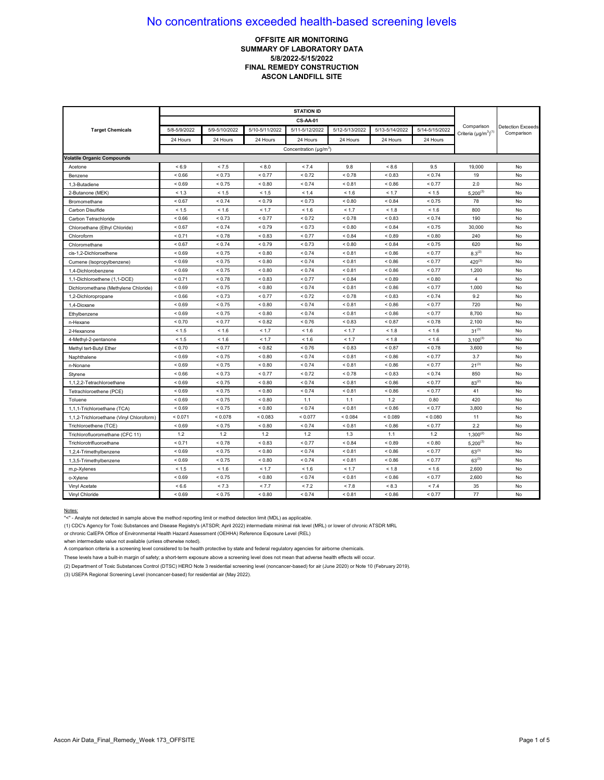## **OFFSITE AIR MONITORING SUMMARY OF LABORATORY DATA 5/8/2022-5/15/2022 FINAL REMEDY CONSTRUCTION ASCON LANDFILL SITE**

| <b>Target Chemicals</b>                  | 5/8-5/9/2022 | 5/9-5/10/2022 | 5/10-5/11/2022 | 5/11-5/12/2022                           | 5/12-5/13/2022 | 5/13-5/14/2022 | 5/14-5/15/2022 | Comparison<br>Criteria $(\mu g/m^3)^{(1)}$ | <b>Detection Exceeds</b><br>Comparison |
|------------------------------------------|--------------|---------------|----------------|------------------------------------------|----------------|----------------|----------------|--------------------------------------------|----------------------------------------|
|                                          | 24 Hours     | 24 Hours      | 24 Hours       | 24 Hours                                 | 24 Hours       | 24 Hours       | 24 Hours       |                                            |                                        |
|                                          |              |               |                | Concentration ( $\mu$ g/m <sup>3</sup> ) |                |                |                |                                            |                                        |
| <b>Volatile Organic Compounds</b>        |              |               |                |                                          |                |                |                |                                            |                                        |
| Acetone                                  | < 6.9        | < 7.5         | < 8.0          | < 7.4                                    | 9.8            | < 8.6          | 9.5            | 19,000                                     | No                                     |
| Benzene                                  | < 0.66       | < 0.73        | < 0.77         | < 0.72                                   | ${}_{0.78}$    | ${}_{0.83}$    | < 0.74         | 19                                         | No                                     |
| 1,3-Butadiene                            | < 0.69       | < 0.75        | < 0.80         | < 0.74                                   | < 0.81         | ${}_{0.86}$    | < 0.77         | 2.0                                        | No                                     |
| 2-Butanone (MEK)                         | < 1.3        | < 1.5         | < 1.5          | < 1.4                                    | < 1.6          | < 1.7          | < 1.5          | $5,200^{(3)}$                              | No                                     |
| Bromomethane                             | < 0.67       | < 0.74        | < 0.79         | < 0.73                                   | ${}_{0.80}$    | < 0.84         | < 0.75         | 78                                         | No                                     |
| Carbon Disulfide                         | < 1.5        | < 1.6         | < 1.7          | < 1.6                                    | < 1.7          | < 1.8          | < 1.6          | 800                                        | No                                     |
| Carbon Tetrachloride                     | ${}< 0.66$   | < 0.73        | < 0.77         | < 0.72                                   | ${}_{0.78}$    | ${}_{0.83}$    | ${}_{0.74}$    | 190                                        | No                                     |
| Chloroethane (Ethyl Chloride)            | < 0.67       | < 0.74        | < 0.79         | < 0.73                                   | ${}_{0.80}$    | < 0.84         | < 0.75         | 30,000                                     | No                                     |
| Chloroform                               | < 0.71       | < 0.78        | < 0.83         | < 0.77                                   | < 0.84         | < 0.89         | < 0.80         | 240                                        | No                                     |
| Chloromethane                            | < 0.67       | < 0.74        | < 0.79         | < 0.73                                   | < 0.80         | < 0.84         | < 0.75         | 620                                        | No                                     |
| cis-1.2-Dichloroethene                   | < 0.69       | < 0.75        | < 0.80         | < 0.74                                   | < 0.81         | < 0.86         | < 0.77         | $8.3^{(2)}$                                | No                                     |
| Cumene (Isopropylbenzene)                | < 0.69       | < 0.75        | ${}_{0.80}$    | < 0.74                                   | < 0.81         | ${}_{0.86}$    | < 0.77         | $420^{(3)}$                                | No                                     |
| 1.4-Dichlorobenzene                      | ${}_{0.69}$  | < 0.75        | ${}_{0.80}$    | < 0.74                                   | ${}_{0.81}$    | < 0.86         | < 0.77         | 1,200                                      | No                                     |
| 1,1-Dichloroethene (1,1-DCE)             | < 0.71       | < 0.78        | ${}_{0.83}$    | < 0.77                                   | ${}_{0.84}$    | ${}_{0.89}$    | ${}_{0.80}$    | $\overline{4}$                             | No                                     |
| Dichloromethane (Methylene Chloride)     | < 0.69       | < 0.75        | ${}_{0.80}$    | < 0.74                                   | < 0.81         | ${}_{<0.86}$   | < 0.77         | 1,000                                      | No                                     |
| 1,2-Dichloropropane                      | < 0.66       | < 0.73        | < 0.77         | < 0.72                                   | < 0.78         | < 0.83         | < 0.74         | 9.2                                        | No                                     |
| 1,4-Dioxane                              | ${}_{0.69}$  | < 0.75        | ${}_{0.80}$    | < 0.74                                   | ${}_{0.81}$    | ${}_{<0.86}$   | < 0.77         | 720                                        | No                                     |
| Ethylbenzene                             | < 0.69       | < 0.75        | ${}_{0.80}$    | < 0.74                                   | < 0.81         | < 0.86         | < 0.77         | 8,700                                      | No                                     |
| n-Hexane                                 | < 0.70       | < 0.77        | ${}_{0.82}$    | < 0.76                                   | ${}_{0.83}$    | < 0.87         | < 0.78         | 2,100                                      | No                                     |
| 2-Hexanone                               | < 1.5        | < 1.6         | < 1.7          | < 1.6                                    | < 1.7          | < 1.8          | < 1.6          | $31^{(3)}$                                 | No                                     |
| 4-Methyl-2-pentanone                     | < 1.5        | < 1.6         | < 1.7          | < 1.6                                    | < 1.7          | < 1.8          | < 1.6          | $3,100^{(3)}$                              | No                                     |
| Methyl tert-Butyl Ether                  | < 0.70       | < 0.77        | < 0.82         | < 0.76                                   | < 0.83         | < 0.87         | < 0.78         | 3,600                                      | No                                     |
| Naphthalene                              | < 0.69       | < 0.75        | ${}_{0.80}$    | < 0.74                                   | < 0.81         | < 0.86         | < 0.77         | 3.7                                        | No                                     |
| n-Nonane                                 | ${}_{0.69}$  | < 0.75        | ${}_{0.80}$    | < 0.74                                   | ${}_{0.81}$    | ${}_{0.86}$    | < 0.77         | $21^{(3)}$                                 | No                                     |
| Styrene                                  | < 0.66       | < 0.73        | < 0.77         | < 0.72                                   | < 0.78         | < 0.83         | ${}_{0.74}$    | 850                                        | No                                     |
| 1,1,2,2-Tetrachloroethane                | ${}_{0.69}$  | < 0.75        | ${}_{0.80}$    | < 0.74                                   | ${}_{0.81}$    | ${}_{0.86}$    | < 0.77         | $83^{(2)}$                                 | No                                     |
| Tetrachloroethene (PCE)                  | ${}_{0.69}$  | < 0.75        | ${}_{0.80}$    | < 0.74                                   | ${}_{0.81}$    | ${}_{<0.86}$   | < 0.77         | 41                                         | No                                     |
| Toluene                                  | ${}_{0.69}$  | < 0.75        | ${}_{0.80}$    | 1.1                                      | 1.1            | 1.2            | 0.80           | 420                                        | No                                     |
| 1,1,1-Trichloroethane (TCA)              | ${}_{0.69}$  | < 0.75        | ${}_{0.80}$    | < 0.74                                   | < 0.81         | < 0.86         | < 0.77         | 3,800                                      | No                                     |
| 1,1,2-Trichloroethane (Vinyl Chloroform) | < 0.071      | < 0.078       | < 0.083        | < 0.077                                  | < 0.084        | < 0.089        | < 0.080        | 11                                         | No                                     |
| Trichloroethene (TCE)                    | ${}_{0.69}$  | < 0.75        | ${}_{0.80}$    | < 0.74                                   | ${}_{0.81}$    | ${}_{0.86}$    | < 0.77         | 2.2                                        | No                                     |
| Trichlorofluoromethane (CFC 11)          | 1.2          | 1.2           | 1.2            | 1.2                                      | 1.3            | 1.1            | 1.2            | $1,300^{(2)}$                              | No                                     |
| Trichlorotrifluoroethane                 | < 0.71       | ${}_{0.78}$   | ${}_{0.83}$    | < 0.77                                   | ${}_{0.84}$    | ${}_{0.89}$    | ${}_{0.80}$    | $5,200^{(3)}$                              | No                                     |
| 1,2,4-Trimethylbenzene                   | < 0.69       | < 0.75        | ${}_{0.80}$    | < 0.74                                   | < 0.81         | < 0.86         | < 0.77         | $63^{(3)}$                                 | No                                     |
| 1,3,5-Trimethylbenzene                   | < 0.69       | < 0.75        | ${}_{0.80}$    | < 0.74                                   | < 0.81         | ${}_{0.86}$    | < 0.77         | $63^{(3)}$                                 | No                                     |
| m,p-Xylenes                              | < 1.5        | < 1.6         | < 1.7          | < 1.6                                    | < 1.7          | < 1.8          | < 1.6          | 2,600                                      | No                                     |
| o-Xylene                                 | ${}_{0.69}$  | < 0.75        | ${}_{0.80}$    | < 0.74                                   | ${}_{0.81}$    | ${}_{<0.86}$   | < 0.77         | 2,600                                      | No                                     |
| Vinyl Acetate                            | ${}< 6.6$    | < 7.3         | < 7.7          | < 7.2                                    | < 7.8          | < 8.3          | < 7.4          | 35                                         | No                                     |
| Vinyl Chloride                           | ${}_{0.69}$  | < 0.75        | ${}_{0.80}$    | < 0.74                                   | ${}_{0.81}$    | ${}_{<0.86}$   | < 0.77         | 77                                         | No                                     |

#### Notes:

"<" - Analyte not detected in sample above the method reporting limit or method detection limit (MDL) as applicable.

(1) CDC's Agency for Toxic Substances and Disease Registry's (ATSDR; April 2022) intermediate minimal risk level (MRL) or lower of chronic ATSDR MRL

or chronic CalEPA Office of Environmental Health Hazard Assessment (OEHHA) Reference Exposure Level (REL)

when intermediate value not available (unless otherwise noted).

A comparison criteria is a screening level considered to be health protective by state and federal regulatory agencies for airborne chemicals.

These levels have a built-in margin of safety; a short-term exposure above a screening level does not mean that adverse health effects will occur.

(2) Department of Toxic Substances Control (DTSC) HERO Note 3 residential screening level (noncancer-based) for air (June 2020) or Note 10 (February 2019).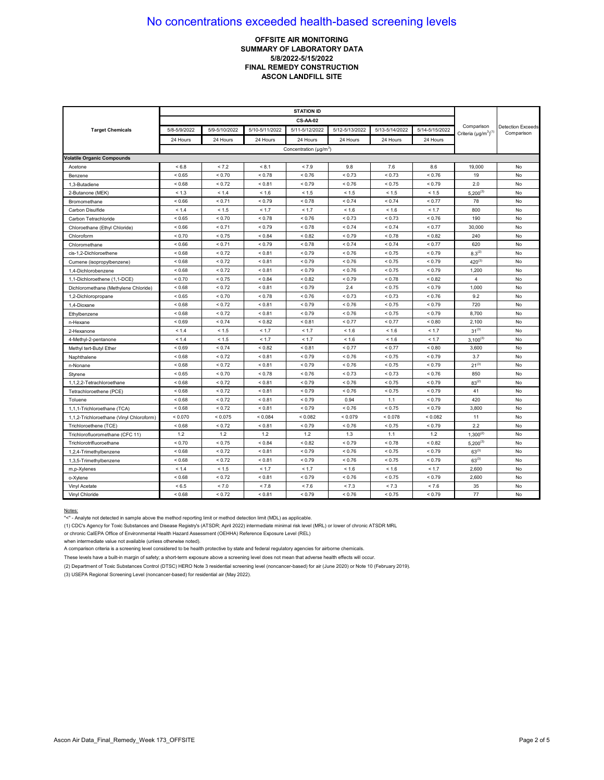## **OFFSITE AIR MONITORING SUMMARY OF LABORATORY DATA 5/8/2022-5/15/2022 FINAL REMEDY CONSTRUCTION ASCON LANDFILL SITE**

|                                          |              |               |                | <b>CS-AA-02</b>                          |                |                |                |                                            |                                        |
|------------------------------------------|--------------|---------------|----------------|------------------------------------------|----------------|----------------|----------------|--------------------------------------------|----------------------------------------|
| <b>Target Chemicals</b>                  | 5/8-5/9/2022 | 5/9-5/10/2022 | 5/10-5/11/2022 | 5/11-5/12/2022                           | 5/12-5/13/2022 | 5/13-5/14/2022 | 5/14-5/15/2022 | Comparison<br>Criteria $(\mu g/m^3)^{(1)}$ | <b>Detection Exceeds</b><br>Comparison |
|                                          | 24 Hours     | 24 Hours      | 24 Hours       | 24 Hours                                 | 24 Hours       | 24 Hours       | 24 Hours       |                                            |                                        |
|                                          |              |               |                | Concentration ( $\mu$ g/m <sup>3</sup> ) |                |                |                |                                            |                                        |
| <b>Volatile Organic Compounds</b>        |              |               |                |                                          |                |                |                |                                            |                                        |
| Acetone                                  | < 6.8        | < 7.2         | < 8.1          | < 7.9                                    | 9.8            | 7.6            | 8.6            | 19,000                                     | No                                     |
| Benzene                                  | < 0.65       | ${}_{0.70}$   | ${}_{0.78}$    | < 0.76                                   | < 0.73         | < 0.73         | < 0.76         | 19                                         | No                                     |
| 1,3-Butadiene                            | < 0.68       | < 0.72        | < 0.81         | < 0.79                                   | < 0.76         | < 0.75         | ${}_{0.79}$    | 2.0                                        | No                                     |
| 2-Butanone (MEK)                         | < 1.3        | < 1.4         | < 1.6          | < 1.5                                    | < 1.5          | < 1.5          | < 1.5          | $5,200^{(3)}$                              | No                                     |
| Bromomethane                             | < 0.66       | < 0.71        | < 0.79         | < 0.78                                   | < 0.74         | < 0.74         | < 0.77         | 78                                         | No                                     |
| Carbon Disulfide                         | < 1.4        | < 1.5         | < 1.7          | < 1.7                                    | < 1.6          | < 1.6          | < 1.7          | 800                                        | No                                     |
| Carbon Tetrachloride                     | ${}< 0.65$   | < 0.70        | ${}_{0.78}$    | < 0.76                                   | < 0.73         | < 0.73         | ${}_{0.76}$    | 190                                        | No                                     |
| Chloroethane (Ethyl Chloride)            | < 0.66       | < 0.71        | < 0.79         | < 0.78                                   | < 0.74         | < 0.74         | < 0.77         | 30,000                                     | No                                     |
| Chloroform                               | < 0.70       | < 0.75        | ${}_{0.84}$    | < 0.82                                   | < 0.79         | < 0.78         | < 0.82         | 240                                        | No                                     |
| Chloromethane                            | < 0.66       | < 0.71        | ${}_{0.79}$    | < 0.78                                   | < 0.74         | < 0.74         | < 0.77         | 620                                        | No                                     |
| cis-1.2-Dichloroethene                   | < 0.68       | < 0.72        | < 0.81         | < 0.79                                   | < 0.76         | < 0.75         | < 0.79         | $8.3^{(2)}$                                | No                                     |
| Cumene (isopropylbenzene)                | ${}_{<0.68}$ | < 0.72        | < 0.81         | < 0.79                                   | < 0.76         | < 0.75         | < 0.79         | $420^{(3)}$                                | No                                     |
| 1,4-Dichlorobenzene                      | < 0.68       | < 0.72        | < 0.81         | < 0.79                                   | < 0.76         | < 0.75         | < 0.79         | 1,200                                      | No                                     |
| 1,1-Dichloroethene (1,1-DCE)             | ${}_{0.70}$  | < 0.75        | ${}_{0.84}$    | ${}_{0.82}$                              | < 0.79         | ${}_{0.78}$    | ${}_{0.82}$    | $\overline{4}$                             | No                                     |
| Dichloromethane (Methylene Chloride)     | < 0.68       | < 0.72        | < 0.81         | < 0.79                                   | 2.4            | < 0.75         | < 0.79         | 1,000                                      | No                                     |
| 1,2-Dichloropropane                      | < 0.65       | < 0.70        | < 0.78         | < 0.76                                   | < 0.73         | < 0.73         | < 0.76         | 9.2                                        | No                                     |
| 1,4-Dioxane                              | ${}_{0.68}$  | < 0.72        | ${}_{0.81}$    | < 0.79                                   | < 0.76         | < 0.75         | ${}_{0.79}$    | 720                                        | No                                     |
| Ethylbenzene                             | ${}_{<0.68}$ | < 0.72        | < 0.81         | < 0.79                                   | < 0.76         | < 0.75         | < 0.79         | 8,700                                      | No                                     |
| n-Hexane                                 | ${}_{0.69}$  | < 0.74        | ${}_{0.82}$    | < 0.81                                   | < 0.77         | < 0.77         | ${}_{0.80}$    | 2,100                                      | No                                     |
| 2-Hexanone                               | < 1.4        | < 1.5         | < 1.7          | < 1.7                                    | < 1.6          | < 1.6          | < 1.7          | $31^{(3)}$                                 | No                                     |
| 4-Methyl-2-pentanone                     | < 1.4        | < 1.5         | < 1.7          | < 1.7                                    | < 1.6          | < 1.6          | < 1.7          | $3,100^{(3)}$                              | No                                     |
| Methyl tert-Butyl Ether                  | < 0.69       | < 0.74        | < 0.82         | < 0.81                                   | < 0.77         | < 0.77         | < 0.80         | 3,600                                      | No                                     |
| Naphthalene                              | < 0.68       | < 0.72        | < 0.81         | < 0.79                                   | < 0.76         | < 0.75         | < 0.79         | 3.7                                        | No                                     |
| n-Nonane                                 | ${}_{0.68}$  | < 0.72        | ${}_{0.81}$    | < 0.79                                   | < 0.76         | ${}_{0.75}$    | < 0.79         | $21^{(3)}$                                 | No                                     |
| Styrene                                  | < 0.65       | < 0.70        | < 0.78         | < 0.76                                   | < 0.73         | < 0.73         | < 0.76         | 850                                        | No                                     |
| 1,1,2,2-Tetrachloroethane                | ${}_{0.68}$  | < 0.72        | ${}_{0.81}$    | < 0.79                                   | < 0.76         | < 0.75         | ${}_{0.79}$    | $83^{(2)}$                                 | No                                     |
| Tetrachloroethene (PCE)                  | ${}_{0.68}$  | < 0.72        | ${}_{0.81}$    | < 0.79                                   | < 0.76         | < 0.75         | ${}_{0.79}$    | 41                                         | No                                     |
| Toluene                                  | < 0.68       | < 0.72        | ${}_{0.81}$    | < 0.79                                   | 0.94           | 1.1            | < 0.79         | 420                                        | No                                     |
| 1,1,1-Trichloroethane (TCA)              | ${}_{<0.68}$ | < 0.72        | < 0.81         | < 0.79                                   | < 0.76         | < 0.75         | < 0.79         | 3,800                                      | No                                     |
| 1,1,2-Trichloroethane (Vinyl Chloroform) | < 0.070      | < 0.075       | ${}_{0.084}$   | < 0.082                                  | < 0.079        | < 0.078        | < 0.082        | 11                                         | No                                     |
| Trichloroethene (TCE)                    | ${}_{0.68}$  | < 0.72        | ${}_{0.81}$    | < 0.79                                   | < 0.76         | < 0.75         | < 0.79         | 2.2                                        | No                                     |
| Trichlorofluoromethane (CFC 11)          | 1.2          | 1.2           | 1.2            | 1.2                                      | 1.3            | 1.1            | 1.2            | $1,300^{(2)}$                              | No                                     |
| Trichlorotrifluoroethane                 | ${}_{0.70}$  | < 0.75        | ${}_{0.84}$    | ${}_{0.82}$                              | < 0.79         | ${}_{0.78}$    | ${}_{0.82}$    | $5,200^{(3)}$                              | No                                     |
| 1,2,4-Trimethylbenzene                   | < 0.68       | < 0.72        | < 0.81         | < 0.79                                   | < 0.76         | < 0.75         | < 0.79         | $63^{(3)}$                                 | No                                     |
| 1,3,5-Trimethylbenzene                   | < 0.68       | < 0.72        | < 0.81         | < 0.79                                   | < 0.76         | < 0.75         | < 0.79         | $63^{(3)}$                                 | No                                     |
| m,p-Xylenes                              | < 1.4        | < 1.5         | < 1.7          | < 1.7                                    | < 1.6          | < 1.6          | < 1.7          | 2,600                                      | No                                     |
| o-Xylene                                 | ${}_{0.68}$  | < 0.72        | ${}_{0.81}$    | < 0.79                                   | < 0.76         | < 0.75         | < 0.79         | 2,600                                      | No                                     |
| Vinyl Acetate                            | < 6.5        | < 7.0         | < 7.8          | < 7.6                                    | < 7.3          | < 7.3          | < 7.6          | 35                                         | No                                     |
| Vinyl Chloride                           | ${}_{0.68}$  | < 0.72        | ${}_{0.81}$    | < 0.79                                   | ${}_{0.76}$    | ${}_{0.75}$    | ${}_{0.79}$    | 77                                         | No                                     |

#### Notes:

"<" - Analyte not detected in sample above the method reporting limit or method detection limit (MDL) as applicable.

(1) CDC's Agency for Toxic Substances and Disease Registry's (ATSDR; April 2022) intermediate minimal risk level (MRL) or lower of chronic ATSDR MRL

or chronic CalEPA Office of Environmental Health Hazard Assessment (OEHHA) Reference Exposure Level (REL)

when intermediate value not available (unless otherwise noted).

A comparison criteria is a screening level considered to be health protective by state and federal regulatory agencies for airborne chemicals.

These levels have a built-in margin of safety; a short-term exposure above a screening level does not mean that adverse health effects will occur.

(2) Department of Toxic Substances Control (DTSC) HERO Note 3 residential screening level (noncancer-based) for air (June 2020) or Note 10 (February 2019).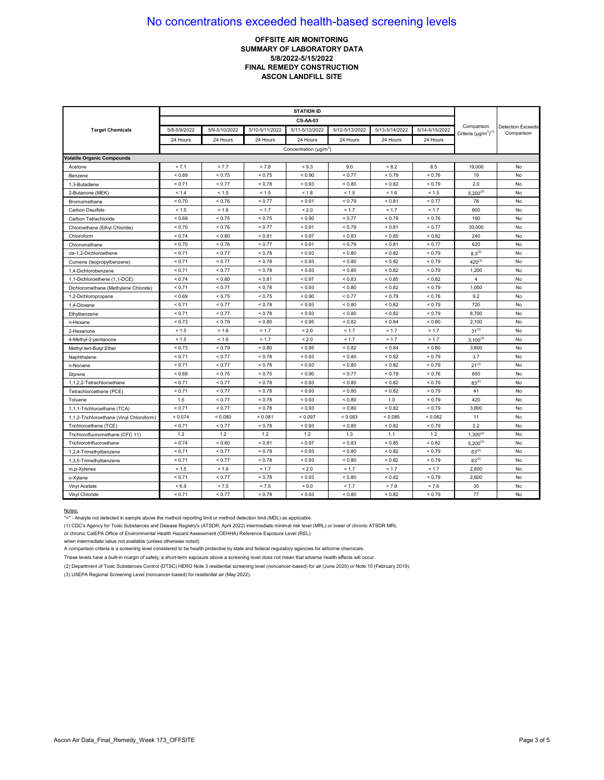## **OFFSITE AIR MONITORING SUMMARY OF LABORATORY DATA 5/8/2022-5/15/2022 FINAL REMEDY CONSTRUCTION ASCON LANDFILL SITE**

|                                          |              |               |                | <b>CS-AA-03</b>                    |                |                |                |                                            |                                        |
|------------------------------------------|--------------|---------------|----------------|------------------------------------|----------------|----------------|----------------|--------------------------------------------|----------------------------------------|
| <b>Target Chemicals</b>                  | 5/8-5/9/2022 | 5/9-5/10/2022 | 5/10-5/11/2022 | 5/11-5/12/2022                     | 5/12-5/13/2022 | 5/13-5/14/2022 | 5/14-5/15/2022 | Comparison<br>Criteria $(\mu q/m^3)^{(1)}$ | <b>Detection Exceeds</b><br>Comparison |
|                                          | 24 Hours     | 24 Hours      | 24 Hours       | 24 Hours                           | 24 Hours       | 24 Hours       | 24 Hours       |                                            |                                        |
|                                          |              |               |                | Concentration (µg/m <sup>3</sup> ) |                |                |                |                                            |                                        |
| <b>Volatile Organic Compounds</b>        |              |               |                |                                    |                |                |                |                                            |                                        |
| Acetone                                  | < 7.1        | < 7.7         | < 7.8          | < 9.3                              | 9.0            | < 8.2          | 8.5            | 19,000                                     | No                                     |
| Benzene                                  | ${}_{0.69}$  | < 0.75        | < 0.75         | ${}_{0.90}$                        | < 0.77         | < 0.79         | ${}_{0.76}$    | 19                                         | No                                     |
| 1,3-Butadiene                            | < 0.71       | < 0.77        | < 0.78         | < 0.93                             | < 0.80         | ${}_{0.82}$    | < 0.79         | 2.0                                        | No                                     |
| 2-Butanone (MEK)                         | < 1.4        | < 1.5         | < 1.5          | < 1.8                              | < 1.5          | < 1.6          | < 1.5          | $5,200^{(3)}$                              | No                                     |
| Bromomethane                             | < 0.70       | < 0.76        | < 0.77         | < 0.91                             | < 0.79         | < 0.81         | < 0.77         | 78                                         | No                                     |
| Carbon Disulfide                         | < 1.5        | < 1.6         | < 1.7          | ${}_{2.0}$                         | < 1.7          | < 1.7          | < 1.7          | 800                                        | No                                     |
| Carbon Tetrachloride                     | < 0.69       | < 0.75        | < 0.75         | ${}_{0.90}$                        | < 0.77         | < 0.79         | < 0.76         | 190                                        | No                                     |
| Chloroethane (Ethyl Chloride)            | < 0.70       | < 0.76        | < 0.77         | < 0.91                             | ${}_{0.79}$    | < 0.81         | < 0.77         | 30,000                                     | No                                     |
| Chloroform                               | < 0.74       | ${}_{0.80}$   | ${}_{0.81}$    | < 0.97                             | ${}_{0.83}$    | ${}_{< 0.85}$  | ${}_{0.82}$    | 240                                        | No                                     |
| Chloromethane                            | ${}_{0.70}$  | < 0.76        | < 0.77         | < 0.91                             | ${}_{0.79}$    | < 0.81         | < 0.77         | 620                                        | No                                     |
| cis-1,2-Dichloroethene                   | < 0.71       | < 0.77        | < 0.78         | < 0.93                             | ${}_{< 0.80}$  | < 0.82         | < 0.79         | $8.3^{(2)}$                                | No                                     |
| Cumene (Isopropylbenzene)                | < 0.71       | < 0.77        | < 0.78         | < 0.93                             | ${}_{0.80}$    | < 0.82         | < 0.79         | $420^{(3)}$                                | No                                     |
| 1.4-Dichlorobenzene                      | < 0.71       | < 0.77        | < 0.78         | < 0.93                             | ${}_{0.80}$    | < 0.82         | < 0.79         | 1,200                                      | No                                     |
| 1,1-Dichloroethene (1,1-DCE)             | < 0.74       | ${}_{0.80}$   | ${}_{0.81}$    | < 0.97                             | < 0.83         | ${}_{< 0.85}$  | ${}_{0.82}$    | 4                                          | No                                     |
| Dichloromethane (Methylene Chloride)     | < 0.71       | < 0.77        | ${}_{0.78}$    | ${}_{0.93}$                        | ${}_{0.80}$    | ${}_{0.82}$    | ${}_{0.79}$    | 1,000                                      | No                                     |
| 1,2-Dichloropropane                      | < 0.69       | < 0.75        | < 0.75         | ${}_{0.90}$                        | < 0.77         | < 0.79         | < 0.76         | 9.2                                        | No                                     |
| 1.4-Dioxane                              | < 0.71       | < 0.77        | ${}_{0.78}$    | ${}_{0.93}$                        | ${}_{0.80}$    | ${}_{0.82}$    | < 0.79         | 720                                        | No                                     |
| Ethylbenzene                             | < 0.71       | < 0.77        | < 0.78         | < 0.93                             | < 0.80         | < 0.82         | < 0.79         | 8,700                                      | No                                     |
| n-Hexane                                 | < 0.73       | < 0.79        | ${}_{0.80}$    | < 0.95                             | < 0.82         | < 0.84         | < 0.80         | 2,100                                      | No                                     |
| 2-Hexanone                               | < 1.5        | < 1.6         | < 1.7          | < 2.0                              | < 1.7          | < 1.7          | < 1.7          | $31^{(3)}$                                 | No                                     |
| 4-Methyl-2-pentanone                     | < 1.5        | < 1.6         | < 1.7          | ${}_{2.0}$                         | < 1.7          | < 1.7          | < 1.7          | $3,100^{(3)}$                              | No                                     |
| Methyl tert-Butyl Ether                  | < 0.73       | < 0.79        | ${}_{0.80}$    | < 0.95                             | < 0.82         | < 0.84         | < 0.80         | 3,600                                      | No                                     |
| Naphthalene                              | < 0.71       | < 0.77        | < 0.78         | < 0.93                             | ${}_{0.80}$    | < 0.82         | < 0.79         | 3.7                                        | No                                     |
| n-Nonane                                 | < 0.71       | < 0.77        | < 0.78         | ${}_{0.93}$                        | ${}_{0.80}$    | ${}_{0.82}$    | < 0.79         | $21^{(3)}$                                 | No                                     |
| Styrene                                  | < 0.69       | < 0.75        | < 0.75         | ${}_{0.90}$                        | < 0.77         | < 0.79         | < 0.76         | 850                                        | No                                     |
| 1,1,2,2-Tetrachloroethane                | < 0.71       | < 0.77        | < 0.78         | < 0.93                             | < 0.80         | < 0.82         | < 0.79         | $83^{(2)}$                                 | No                                     |
| Tetrachloroethene (PCE)                  | < 0.71       | < 0.77        | ${}_{< 0.78}$  | < 0.93                             | ${}_{0.80}$    | < 0.82         | < 0.79         | 41                                         | No                                     |
| Toluene                                  | 1.5          | < 0.77        | ${}_{0.78}$    | ${}_{0.93}$                        | ${}_{0.80}$    | 1.0            | ${}_{0.79}$    | 420                                        | No                                     |
| 1,1,1-Trichloroethane (TCA)              | < 0.71       | < 0.77        | < 0.78         | < 0.93                             | < 0.80         | ${}_{0.82}$    | < 0.79         | 3,800                                      | No                                     |
| 1,1,2-Trichloroethane (Vinyl Chloroform) | < 0.074      | ${}_{0.080}$  | < 0.081        | < 0.097                            | < 0.083        | < 0.085        | < 0.082        | 11                                         | No                                     |
| Trichloroethene (TCE)                    | < 0.71       | < 0.77        | ${}_{0.78}$    | ${}_{0.93}$                        | ${}_{0.80}$    | ${}_{0.82}$    | ${}_{0.79}$    | 2.2                                        | No                                     |
| Trichlorofluoromethane (CFC 11)          | 1.2          | 1.2           | 1.2            | 1.2                                | 1.3            | 1.1            | 1.2            | $1,300^{(2)}$                              | No                                     |
| Trichlorotrifluoroethane                 | < 0.74       | ${}_{0.80}$   | < 0.81         | < 0.97                             | < 0.83         | < 0.85         | < 0.82         | $5,200^{(3)}$                              | No                                     |
| 1,2,4-Trimethylbenzene                   | < 0.71       | < 0.77        | < 0.78         | < 0.93                             | ${}_{< 0.80}$  | < 0.82         | < 0.79         | $63^{(3)}$                                 | No                                     |
| 1,3,5-Trimethylbenzene                   | < 0.71       | < 0.77        | ${}_{0.78}$    | < 0.93                             | < 0.80         | ${}_{0.82}$    | ${}_{0.79}$    | $63^{(3)}$                                 | No                                     |
| m,p-Xylenes                              | < 1.5        | < 1.6         | < 1.7          | < 2.0                              | < 1.7          | < 1.7          | < 1.7          | 2,600                                      | No                                     |
| o-Xylene                                 | < 0.71       | < 0.77        | ${}_{0.78}$    | ${}_{0.93}$                        | < 0.80         | ${}_{0.82}$    | ${}_{0.79}$    | 2,600                                      | No                                     |
| Vinyl Acetate                            | ${}_{5.9}$   | < 7.5         | < 7.5          | ${}_{5.0}$                         | < 7.7          | < 7.9          | < 7.6          | 35                                         | No                                     |
| Vinyl Chloride                           | < 0.71       | < 0.77        | ${}_{0.78}$    | ${}_{0.93}$                        | ${}_{0.80}$    | ${}_{0.82}$    | ${}_{0.79}$    | 77                                         | No                                     |

#### Notes:

"<" - Analyte not detected in sample above the method reporting limit or method detection limit (MDL) as applicable.

(1) CDC's Agency for Toxic Substances and Disease Registry's (ATSDR; April 2022) intermediate minimal risk level (MRL) or lower of chronic ATSDR MRL

or chronic CalEPA Office of Environmental Health Hazard Assessment (OEHHA) Reference Exposure Level (REL)

when intermediate value not available (unless otherwise noted).

A comparison criteria is a screening level considered to be health protective by state and federal regulatory agencies for airborne chemicals.

These levels have a built-in margin of safety; a short-term exposure above a screening level does not mean that adverse health effects will occur.

(2) Department of Toxic Substances Control (DTSC) HERO Note 3 residential screening level (noncancer-based) for air (June 2020) or Note 10 (February 2019).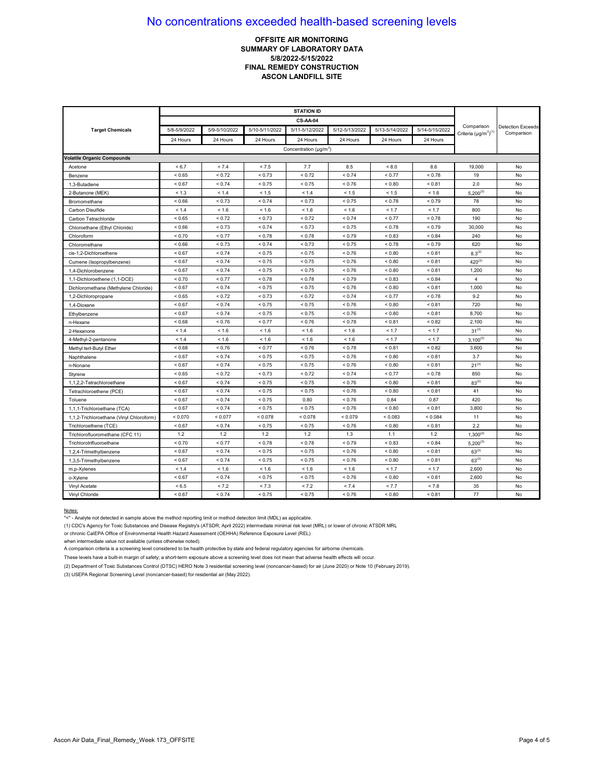## **OFFSITE AIR MONITORING SUMMARY OF LABORATORY DATA 5/8/2022-5/15/2022 FINAL REMEDY CONSTRUCTION ASCON LANDFILL SITE**

|                                          |              |               |                | <b>CS-AA-04</b>                    |                |                |                |                                            |                                        |
|------------------------------------------|--------------|---------------|----------------|------------------------------------|----------------|----------------|----------------|--------------------------------------------|----------------------------------------|
| <b>Target Chemicals</b>                  | 5/8-5/9/2022 | 5/9-5/10/2022 | 5/10-5/11/2022 | 5/11-5/12/2022                     | 5/12-5/13/2022 | 5/13-5/14/2022 | 5/14-5/15/2022 | Comparison<br>Criteria $(\mu q/m^3)^{(1)}$ | <b>Detection Exceeds</b><br>Comparison |
|                                          | 24 Hours     | 24 Hours      | 24 Hours       | 24 Hours                           | 24 Hours       | 24 Hours       | 24 Hours       |                                            |                                        |
|                                          |              |               |                | Concentration (µg/m <sup>3</sup> ) |                |                |                |                                            |                                        |
| <b>Volatile Organic Compounds</b>        |              |               |                |                                    |                |                |                |                                            |                                        |
| Acetone                                  | < 6.7        | < 7.4         | < 7.5          | 7.7                                | 8.5            | < 8.0          | 8.6            | 19,000                                     | No                                     |
| Benzene                                  | < 0.65       | < 0.72        | ${}_{0.73}$    | < 0.72                             | ${}_{0.74}$    | < 0.77         | ${}_{0.78}$    | 19                                         | No                                     |
| 1,3-Butadiene                            | < 0.67       | < 0.74        | < 0.75         | < 0.75                             | < 0.76         | < 0.80         | ${}_{0.81}$    | 2.0                                        | No                                     |
| 2-Butanone (MEK)                         | < 1.3        | < 1.4         | < 1.5          | < 1.4                              | < 1.5          | < 1.5          | < 1.6          | $5,200^{(3)}$                              | No                                     |
| Bromomethane                             | < 0.66       | < 0.73        | < 0.74         | < 0.73                             | < 0.75         | < 0.78         | < 0.79         | 78                                         | No                                     |
| Carbon Disulfide                         | < 1.4        | < 1.6         | < 1.6          | < 1.6                              | < 1.6          | < 1.7          | < 1.7          | 800                                        | No                                     |
| Carbon Tetrachloride                     | < 0.65       | < 0.72        | < 0.73         | < 0.72                             | < 0.74         | < 0.77         | < 0.78         | 190                                        | No                                     |
| Chloroethane (Ethyl Chloride)            | ${}< 0.66$   | < 0.73        | < 0.74         | < 0.73                             | ${}_{0.75}$    | < 0.78         | < 0.79         | 30,000                                     | No                                     |
| Chloroform                               | ${}_{0.70}$  | < 0.77        | ${}_{0.78}$    | < 0.78                             | < 0.79         | ${}_{0.83}$    | ${}_{0.84}$    | 240                                        | No                                     |
| Chloromethane                            | ${}_{0.66}$  | < 0.73        | < 0.74         | < 0.73                             | ${}_{0.75}$    | < 0.78         | ${}_{0.79}$    | 620                                        | No                                     |
| cis-1,2-Dichloroethene                   | < 0.67       | < 0.74        | < 0.75         | < 0.75                             | < 0.76         | ${}_{< 0.80}$  | < 0.81         | $8.3^{(2)}$                                | No                                     |
| Cumene (Isopropylbenzene)                | < 0.67       | < 0.74        | < 0.75         | < 0.75                             | < 0.76         | < 0.80         | < 0.81         | $420^{(3)}$                                | No                                     |
| 1.4-Dichlorobenzene                      | < 0.67       | < 0.74        | < 0.75         | < 0.75                             | < 0.76         | < 0.80         | < 0.81         | 1,200                                      | No                                     |
| 1,1-Dichloroethene (1,1-DCE)             | ${}_{0.70}$  | < 0.77        | < 0.78         | < 0.78                             | < 0.79         | ${}_{0.83}$    | ${}_{0.84}$    | 4                                          | No                                     |
| Dichloromethane (Methylene Chloride)     | ${}_{0.67}$  | ${}_{0.74}$   | < 0.75         | < 0.75                             | ${}_{0.76}$    | ${}_{0.80}$    | ${}_{0.81}$    | 1,000                                      | No                                     |
| 1,2-Dichloropropane                      | < 0.65       | < 0.72        | < 0.73         | < 0.72                             | < 0.74         | < 0.77         | ${}_{0.78}$    | 9.2                                        | No                                     |
| 1.4-Dioxane                              | < 0.67       | < 0.74        | < 0.75         | < 0.75                             | ${}_{0.76}$    | ${}_{0.80}$    | ${}_{0.81}$    | 720                                        | No                                     |
| Ethylbenzene                             | < 0.67       | < 0.74        | < 0.75         | < 0.75                             | < 0.76         | < 0.80         | < 0.81         | 8,700                                      | No                                     |
| n-Hexane                                 | < 0.68       | < 0.76        | < 0.77         | < 0.76                             | < 0.78         | < 0.81         | < 0.82         | 2,100                                      | No                                     |
| 2-Hexanone                               | < 1.4        | < 1.6         | < 1.6          | < 1.6                              | < 1.6          | < 1.7          | < 1.7          | $31^{(3)}$                                 | No                                     |
| 4-Methyl-2-pentanone                     | < 1.4        | < 1.6         | < 1.6          | < 1.6                              | < 1.6          | < 1.7          | < 1.7          | $3,100^{(3)}$                              | No                                     |
| Methyl tert-Butyl Ether                  | < 0.68       | < 0.76        | < 0.77         | < 0.76                             | < 0.78         | < 0.81         | ${}_{0.82}$    | 3,600                                      | No                                     |
| Naphthalene                              | < 0.67       | < 0.74        | < 0.75         | < 0.75                             | < 0.76         | < 0.80         | < 0.81         | 3.7                                        | No                                     |
| n-Nonane                                 | < 0.67       | < 0.74        | < 0.75         | < 0.75                             | < 0.76         | ${}_{0.80}$    | ${}_{0.81}$    | $21^{(3)}$                                 | No                                     |
| Styrene                                  | < 0.65       | < 0.72        | < 0.73         | < 0.72                             | < 0.74         | < 0.77         | < 0.78         | 850                                        | No                                     |
| 1,1,2,2-Tetrachloroethane                | < 0.67       | < 0.74        | < 0.75         | < 0.75                             | < 0.76         | < 0.80         | < 0.81         | $83^{(2)}$                                 | No                                     |
| Tetrachloroethene (PCE)                  | < 0.67       | < 0.74        | < 0.75         | < 0.75                             | < 0.76         | < 0.80         | < 0.81         | 41                                         | No                                     |
| Toluene                                  | ${}_{0.67}$  | < 0.74        | < 0.75         | 0.80                               | ${}_{0.76}$    | 0.84           | 0.87           | 420                                        | No                                     |
| 1,1,1-Trichloroethane (TCA)              | < 0.67       | < 0.74        | < 0.75         | < 0.75                             | < 0.76         | < 0.80         | < 0.81         | 3,800                                      | No                                     |
| 1,1,2-Trichloroethane (Vinyl Chloroform) | < 0.070      | < 0.077       | < 0.078        | < 0.078                            | < 0.079        | < 0.083        | < 0.084        | 11                                         | No                                     |
| Trichloroethene (TCE)                    | ${}_{0.67}$  | < 0.74        | < 0.75         | < 0.75                             | ${}_{0.76}$    | ${}_{0.80}$    | ${}_{0.81}$    | 2.2                                        | No                                     |
| Trichlorofluoromethane (CFC 11)          | 1.2          | 1.2           | 1.2            | 1.2                                | 1.3            | 1.1            | 1.2            | $1,300^{(2)}$                              | No                                     |
| Trichlorotrifluoroethane                 | < 0.70       | < 0.77        | < 0.78         | < 0.78                             | < 0.79         | < 0.83         | < 0.84         | $5,200^{(3)}$                              | No                                     |
| 1,2,4-Trimethylbenzene                   | < 0.67       | < 0.74        | < 0.75         | < 0.75                             | < 0.76         | < 0.80         | < 0.81         | $63^{(3)}$                                 | No                                     |
| 1,3,5-Trimethylbenzene                   | ${}_{0.67}$  | < 0.74        | < 0.75         | < 0.75                             | < 0.76         | ${}_{0.80}$    | ${}_{0.81}$    | $63^{(3)}$                                 | No                                     |
| m,p-Xylenes                              | < 1.4        | < 1.6         | < 1.6          | < 1.6                              | < 1.6          | < 1.7          | < 1.7          | 2,600                                      | No                                     |
| o-Xylene                                 | ${}_{0.67}$  | < 0.74        | < 0.75         | < 0.75                             | < 0.76         | ${}_{0.80}$    | ${}_{0.81}$    | 2,600                                      | No                                     |
| Vinyl Acetate                            | < 6.5        | < 7.2         | < 7.3          | < 7.2                              | < 7.4          | < 7.7          | < 7.8          | 35                                         | No                                     |
| Vinyl Chloride                           | ${}_{0.67}$  | < 0.74        | < 0.75         | < 0.75                             | ${}_{0.76}$    | ${}_{0.80}$    | ${}_{0.81}$    | 77                                         | No                                     |

#### Notes:

"<" - Analyte not detected in sample above the method reporting limit or method detection limit (MDL) as applicable.

(1) CDC's Agency for Toxic Substances and Disease Registry's (ATSDR; April 2022) intermediate minimal risk level (MRL) or lower of chronic ATSDR MRL

or chronic CalEPA Office of Environmental Health Hazard Assessment (OEHHA) Reference Exposure Level (REL)

when intermediate value not available (unless otherwise noted).

A comparison criteria is a screening level considered to be health protective by state and federal regulatory agencies for airborne chemicals.

These levels have a built-in margin of safety; a short-term exposure above a screening level does not mean that adverse health effects will occur.

(2) Department of Toxic Substances Control (DTSC) HERO Note 3 residential screening level (noncancer-based) for air (June 2020) or Note 10 (February 2019).